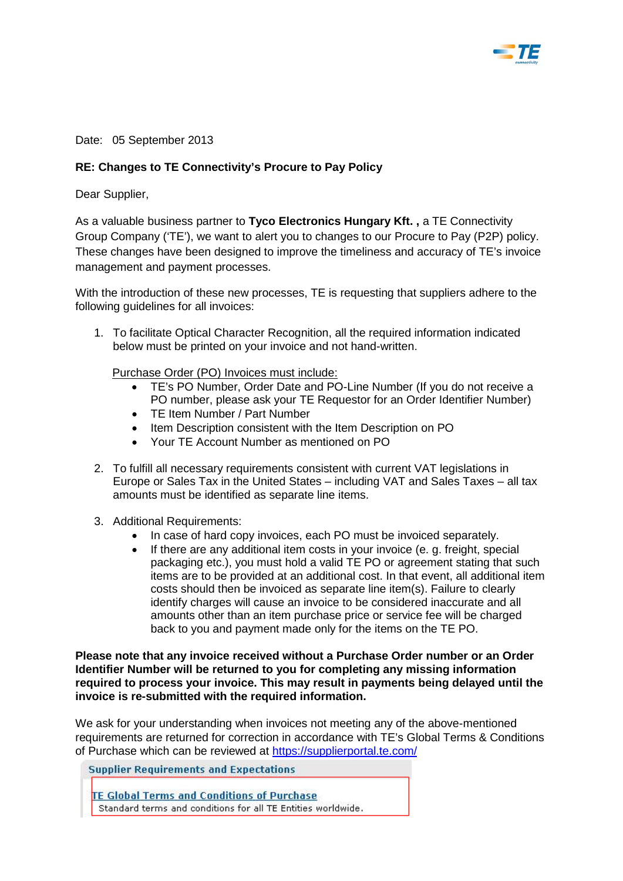

Date: 05 September 2013

## **RE: Changes to TE Connectivity's Procure to Pay Policy**

Dear Supplier,

As a valuable business partner to **Tyco Electronics Hungary Kft. ,** a TE Connectivity Group Company ('TE'), we want to alert you to changes to our Procure to Pay (P2P) policy. These changes have been designed to improve the timeliness and accuracy of TE's invoice management and payment processes.

With the introduction of these new processes, TE is requesting that suppliers adhere to the following guidelines for all invoices:

1. To facilitate Optical Character Recognition, all the required information indicated below must be printed on your invoice and not hand-written.

Purchase Order (PO) Invoices must include:

- TE's PO Number, Order Date and PO-Line Number (If you do not receive a PO number, please ask your TE Requestor for an Order Identifier Number)
- TE Item Number / Part Number
- Item Description consistent with the Item Description on PO
- Your TE Account Number as mentioned on PO
- 2. To fulfill all necessary requirements consistent with current VAT legislations in Europe or Sales Tax in the United States – including VAT and Sales Taxes – all tax amounts must be identified as separate line items.
- 3. Additional Requirements:
	- In case of hard copy invoices, each PO must be invoiced separately.
	- If there are any additional item costs in your invoice (e. g. freight, special packaging etc.), you must hold a valid TE PO or agreement stating that such items are to be provided at an additional cost. In that event, all additional item costs should then be invoiced as separate line item(s). Failure to clearly identify charges will cause an invoice to be considered inaccurate and all amounts other than an item purchase price or service fee will be charged back to you and payment made only for the items on the TE PO.

**Please note that any invoice received without a Purchase Order number or an Order Identifier Number will be returned to you for completing any missing information required to process your invoice. This may result in payments being delayed until the invoice is re-submitted with the required information.** 

We ask for your understanding when invoices not meeting any of the above-mentioned requirements are returned for correction in accordance with TE's Global Terms & Conditions of Purchase which can be reviewed at<https://supplierportal.te.com/>

**Supplier Requirements and Expectations** 

**TE Global Terms and Conditions of Purchase** Standard terms and conditions for all TE Entities worldwide.